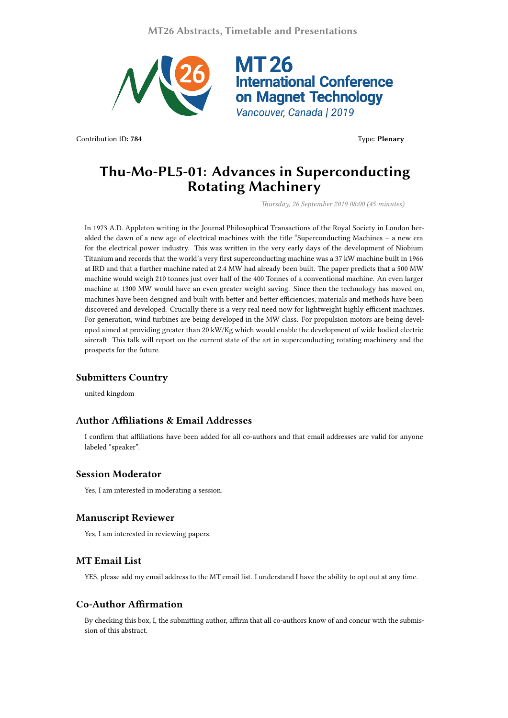**MT26 Abstracts, Timetable and Presentations**



Contribution ID: **784** Type: **Plenary**

# **Thu-Mo-PL5-01: Advances in Superconducting Rotating Machinery**

*Thursday, 26 September 2019 08:00 (45 minutes)*

In 1973 A.D. Appleton writing in the Journal Philosophical Transactions of the Royal Society in London heralded the dawn of a new age of electrical machines with the title "Superconducting Machines – a new era for the electrical power industry. This was written in the very early days of the development of Niobium Titanium and records that the world's very first superconducting machine was a 37 kW machine built in 1966 at IRD and that a further machine rated at 2.4 MW had already been built. The paper predicts that a 500 MW machine would weigh 210 tonnes just over half of the 400 Tonnes of a conventional machine. An even larger machine at 1300 MW would have an even greater weight saving. Since then the technology has moved on, machines have been designed and built with better and better efficiencies, materials and methods have been discovered and developed. Crucially there is a very real need now for lightweight highly efficient machines. For generation, wind turbines are being developed in the MW class. For propulsion motors are being developed aimed at providing greater than 20 kW/Kg which would enable the development of wide bodied electric aircraft. This talk will report on the current state of the art in superconducting rotating machinery and the prospects for the future.

# **Submitters Country**

united kingdom

#### **Author Affiliations & Email Addresses**

I confirm that affiliations have been added for all co-authors and that email addresses are valid for anyone labeled "speaker".

## **Session Moderator**

Yes, I am interested in moderating a session.

#### **Manuscript Reviewer**

Yes, I am interested in reviewing papers.

## **MT Email List**

YES, please add my email address to the MT email list. I understand I have the ability to opt out at any time.

# **Co-Author Affirmation**

By checking this box, I, the submitting author, affirm that all co-authors know of and concur with the submission of this abstract.